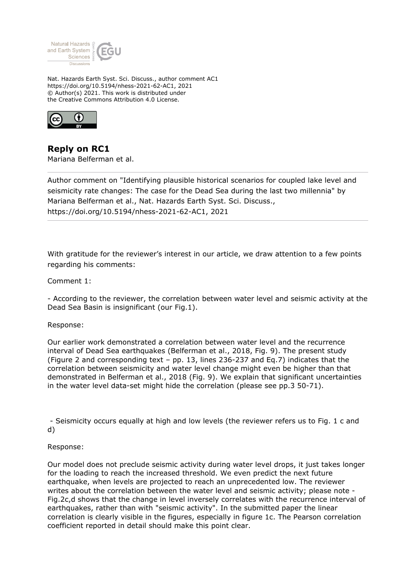

Nat. Hazards Earth Syst. Sci. Discuss., author comment AC1 https://doi.org/10.5194/nhess-2021-62-AC1, 2021 © Author(s) 2021. This work is distributed under the Creative Commons Attribution 4.0 License.



**Reply on RC1** Mariana Belferman et al.

Author comment on "Identifying plausible historical scenarios for coupled lake level and seismicity rate changes: The case for the Dead Sea during the last two millennia" by Mariana Belferman et al., Nat. Hazards Earth Syst. Sci. Discuss., https://doi.org/10.5194/nhess-2021-62-AC1, 2021

With gratitude for the reviewer's interest in our article, we draw attention to a few points regarding his comments:

Comment 1:

- According to the reviewer, the correlation between water level and seismic activity at the Dead Sea Basin is insignificant (our Fig.1).

Response:

Our earlier work demonstrated a correlation between water level and the recurrence interval of Dead Sea earthquakes (Belferman et al., 2018, Fig. 9). The present study (Figure 2 and corresponding text – pp. 13, lines 236-237 and Eq.7) indicates that the correlation between seismicity and water level change might even be higher than that demonstrated in Belferman et al., 2018 (Fig. 9). We explain that significant uncertainties in the water level data-set might hide the correlation (please see pp.3 50-71).

 - Seismicity occurs equally at high and low levels (the reviewer refers us to Fig. 1 c and d)

Response:

Our model does not preclude seismic activity during water level drops, it just takes longer for the loading to reach the increased threshold. We even predict the next future earthquake, when levels are projected to reach an unprecedented low. The reviewer writes about the correlation between the water level and seismic activity; please note - Fig.2c,d shows that the change in level inversely correlates with the recurrence interval of earthquakes, rather than with "seismic activity". In the submitted paper the linear correlation is clearly visible in the figures, especially in figure 1c. The Pearson correlation coefficient reported in detail should make this point clear.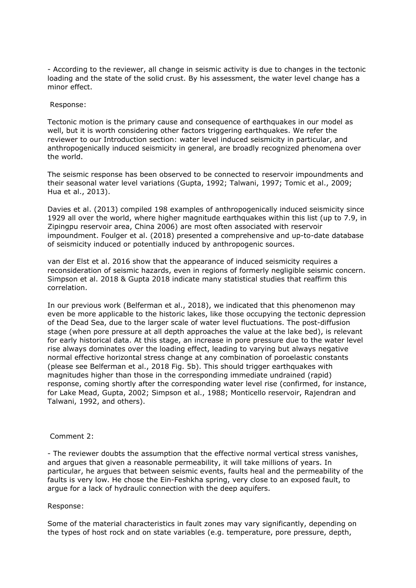- According to the reviewer, all change in seismic activity is due to changes in the tectonic loading and the state of the solid crust. By his assessment, the water level change has a minor effect.

## Response:

Tectonic motion is the primary cause and consequence of earthquakes in our model as well, but it is worth considering other factors triggering earthquakes. We refer the reviewer to our Introduction section: water level induced seismicity in particular, and anthropogenically induced seismicity in general, are broadly recognized phenomena over the world.

The seismic response has been observed to be connected to reservoir impoundments and their seasonal water level variations (Gupta, 1992; Talwani, 1997; Tomic et al., 2009; Hua et al., 2013).

Davies et al. (2013) compiled 198 examples of anthropogenically induced seismicity since 1929 all over the world, where higher magnitude earthquakes within this list (up to 7.9, in Zipingpu reservoir area, China 2006) are most often associated with reservoir impoundment. Foulger et al. (2018) presented a comprehensive and up-to-date database of seismicity induced or potentially induced by anthropogenic sources.

van der Elst et al. 2016 show that the appearance of induced seismicity requires a reconsideration of seismic hazards, even in regions of formerly negligible seismic concern. Simpson et al. 2018 & Gupta 2018 indicate many statistical studies that reaffirm this correlation.

In our previous work (Belferman et al., 2018), we indicated that this phenomenon may even be more applicable to the historic lakes, like those occupying the tectonic depression of the Dead Sea, due to the larger scale of water level fluctuations. The post-diffusion stage (when pore pressure at all depth approaches the value at the lake bed), is relevant for early historical data. At this stage, an increase in pore pressure due to the water level rise always dominates over the loading effect, leading to varying but always negative normal effective horizontal stress change at any combination of poroelastic constants (please see Belferman et al., 2018 Fig. 5b). This should trigger earthquakes with magnitudes higher than those in the corresponding immediate undrained (rapid) response, coming shortly after the corresponding water level rise (confirmed, for instance, for Lake Mead, Gupta, 2002; Simpson et al., 1988; Monticello reservoir, Rajendran and Talwani, 1992, and others).

# Comment 2:

- The reviewer doubts the assumption that the effective normal vertical stress vanishes, and argues that given a reasonable permeability, it will take millions of years. In particular, he argues that between seismic events, faults heal and the permeability of the faults is very low. He chose the Ein-Feshkha spring, very close to an exposed fault, to argue for a lack of hydraulic connection with the deep aquifers.

### Response:

Some of the material characteristics in fault zones may vary significantly, depending on the types of host rock and on state variables (e.g. temperature, pore pressure, depth,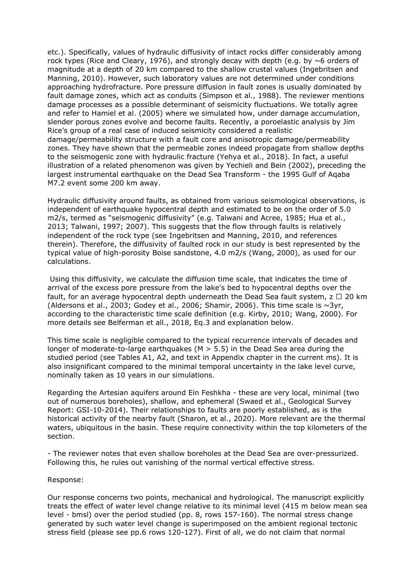etc.). Specifically, values of hydraulic diffusivity of intact rocks differ considerably among rock types (Rice and Cleary, 1976), and strongly decay with depth (e.g. by  $\sim$  6 orders of magnitude at a depth of 20 km compared to the shallow crustal values (Ingebritsen and Manning, 2010). However, such laboratory values are not determined under conditions approaching hydrofracture. Pore pressure diffusion in fault zones is usually dominated by fault damage zones, which act as conduits (Simpson et al., 1988). The reviewer mentions damage processes as a possible determinant of seismicity fluctuations. We totally agree and refer to Hamiel et al. (2005) where we simulated how, under damage accumulation, slender porous zones evolve and become faults. Recently, a poroelastic analysis by Jim Rice's group of a real case of induced seismicity considered a realistic damage/permeability structure with a fault core and anisotropic damage/permeability zones. They have shown that the permeable zones indeed propagate from shallow depths to the seismogenic zone with hydraulic fracture (Yehya et al., 2018). In fact, a useful illustration of a related phenomenon was given by Yechieli and Bein (2002), preceding the largest instrumental earthquake on the Dead Sea Transform - the 1995 Gulf of Agaba M7.2 event some 200 km away.

Hydraulic diffusivity around faults, as obtained from various seismological observations, is independent of earthquake hypocentral depth and estimated to be on the order of 5.0 m2/s, termed as "seismogenic diffusivity" (e.g. Talwani and Acree, 1985; Hua et al., 2013; Talwani, 1997; 2007). This suggests that the flow through faults is relatively independent of the rock type (see Ingebritsen and Manning, 2010, and references therein). Therefore, the diffusivity of faulted rock in our study is best represented by the typical value of high-porosity Boise sandstone, 4.0 m2/s (Wang, 2000), as used for our calculations.

 Using this diffusivity, we calculate the diffusion time scale, that indicates the time of arrival of the excess pore pressure from the lake's bed to hypocentral depths over the fault, for an average hypocentral depth underneath the Dead Sea fault system,  $z \square 20$  km (Aldersons et al., 2003; Godey et al., 2006; Shamir, 2006). This time scale is  $\sim$ 3yr, according to the characteristic time scale definition (e.g. Kirby, 2010; Wang, 2000). For more details see Belferman et all., 2018, Eq.3 and explanation below.

This time scale is negligible compared to the typical recurrence intervals of decades and longer of moderate-to-large earthquakes ( $M > 5.5$ ) in the Dead Sea area during the studied period (see Tables A1, A2, and text in Appendix chapter in the current ms). It is also insignificant compared to the minimal temporal uncertainty in the lake level curve, nominally taken as 10 years in our simulations.

Regarding the Artesian aquifers around Ein Feshkha - these are very local, minimal (two out of numerous boreholes), shallow, and ephemeral (Swaed et al., Geological Survey Report: GSI-10-2014). Their relationships to faults are poorly established, as is the historical activity of the nearby fault (Sharon, et al., 2020). More relevant are the thermal waters, ubiquitous in the basin. These require connectivity within the top kilometers of the section.

- The reviewer notes that even shallow boreholes at the Dead Sea are over-pressurized. Following this, he rules out vanishing of the normal vertical effective stress.

### Response:

Our response concerns two points, mechanical and hydrological. The manuscript explicitly treats the effect of water level change relative to its minimal level (415 m below mean sea level - bmsl) over the period studied (pp. 8, rows 157-160). The normal stress change generated by such water level change is superimposed on the ambient regional tectonic stress field (please see pp.6 rows 120-127). First of all, we do not claim that normal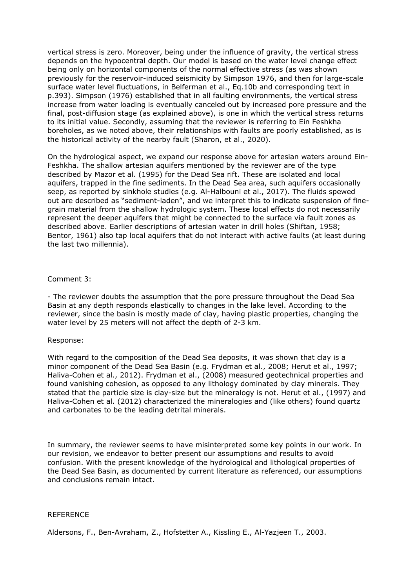vertical stress is zero. Moreover, being under the influence of gravity, the vertical stress depends on the hypocentral depth. Our model is based on the water level change effect being only on horizontal components of the normal effective stress (as was shown previously for the reservoir-induced seismicity by Simpson 1976, and then for large-scale surface water level fluctuations, in Belferman et al., Eq.10b and corresponding text in p.393). Simpson (1976) established that in all faulting environments, the vertical stress increase from water loading is eventually canceled out by increased pore pressure and the final, post-diffusion stage (as explained above), is one in which the vertical stress returns to its initial value. Secondly, assuming that the reviewer is referring to Ein Feshkha boreholes, as we noted above, their relationships with faults are poorly established, as is the historical activity of the nearby fault (Sharon, et al., 2020).

On the hydrological aspect, we expand our response above for artesian waters around Ein-Feshkha. The shallow artesian aquifers mentioned by the reviewer are of the type described by Mazor et al. (1995) for the Dead Sea rift. These are isolated and local aquifers, trapped in the fine sediments. In the Dead Sea area, such aquifers occasionally seep, as reported by sinkhole studies (e.g. Al-Halbouni et al., 2017). The fluids spewed out are described as "sediment-laden", and we interpret this to indicate suspension of finegrain material from the shallow hydrologic system. These local effects do not necessarily represent the deeper aquifers that might be connected to the surface via fault zones as described above. Earlier descriptions of artesian water in drill holes (Shiftan, 1958; Bentor, 1961) also tap local aquifers that do not interact with active faults (at least during the last two millennia).

# Comment 3:

- The reviewer doubts the assumption that the pore pressure throughout the Dead Sea Basin at any depth responds elastically to changes in the lake level. According to the reviewer, since the basin is mostly made of clay, having plastic properties, changing the water level by 25 meters will not affect the depth of 2-3 km.

### Response:

With regard to the composition of the Dead Sea deposits, it was shown that clay is a minor component of the Dead Sea Basin (e.g. Frydman et al., 2008; Herut et al., 1997; Haliva-Cohen et al., 2012). Frydman et al., (2008) measured geotechnical properties and found vanishing cohesion, as opposed to any lithology dominated by clay minerals. They stated that the particle size is clay-size but the mineralogy is not. Herut et al., (1997) and Haliva-Cohen et al. (2012) characterized the mineralogies and (like others) found quartz and carbonates to be the leading detrital minerals.

In summary, the reviewer seems to have misinterpreted some key points in our work. In our revision, we endeavor to better present our assumptions and results to avoid confusion. With the present knowledge of the hydrological and lithological properties of the Dead Sea Basin, as documented by current literature as referenced, our assumptions and conclusions remain intact.

### REFERENCE

Aldersons, F., Ben-Avraham, Z., Hofstetter A., Kissling E., Al-Yazjeen T., 2003.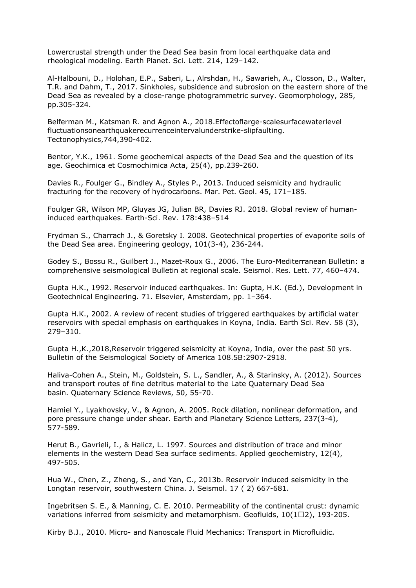Lowercrustal strength under the Dead Sea basin from local earthquake data and rheological modeling. Earth Planet. Sci. Lett. 214, 129–142.

Al-Halbouni, D., Holohan, E.P., Saberi, L., Alrshdan, H., Sawarieh, A., Closson, D., Walter, T.R. and Dahm, T., 2017. Sinkholes, subsidence and subrosion on the eastern shore of the Dead Sea as revealed by a close-range photogrammetric survey. Geomorphology, 285, pp.305-324.

Belferman M., Katsman R. and Agnon A., 2018.Effectoflarge-scalesurfacewaterlevel fluctuationsonearthquakerecurrenceintervalunderstrike-slipfaulting. Tectonophysics,744,390-402.

Bentor, Y.K., 1961. Some geochemical aspects of the Dead Sea and the question of its age. Geochimica et Cosmochimica Acta, 25(4), pp.239-260.

Davies R., Foulger G., Bindley A., Styles P., 2013. Induced seismicity and hydraulic fracturing for the recovery of hydrocarbons. Mar. Pet. Geol. 45, 171–185.

Foulger GR, Wilson MP, Gluyas JG, Julian BR, Davies RJ. 2018. Global review of humaninduced earthquakes. Earth-Sci. Rev. 178:438–514

Frydman S., Charrach J., & Goretsky I. 2008. Geotechnical properties of evaporite soils of the Dead Sea area. Engineering geology, 101(3-4), 236-244.

Godey S., Bossu R., Guilbert J., Mazet-Roux G., 2006. The Euro-Mediterranean Bulletin: a comprehensive seismological Bulletin at regional scale. Seismol. Res. Lett. 77, 460–474.

Gupta H.K., 1992. Reservoir induced earthquakes. In: Gupta, H.K. (Ed.), Development in Geotechnical Engineering. 71. Elsevier, Amsterdam, pp. 1–364.

Gupta H.K., 2002. A review of recent studies of triggered earthquakes by artificial water reservoirs with special emphasis on earthquakes in Koyna, India. Earth Sci. Rev. 58 (3), 279–310.

Gupta H.,K.,2018,Reservoir triggered seismicity at Koyna, India, over the past 50 yrs. Bulletin of the Seismological Society of America 108.5B:2907-2918.

Haliva-Cohen A., Stein, M., Goldstein, S. L., Sandler, A., & Starinsky, A. (2012). Sources and transport routes of fine detritus material to the Late Quaternary Dead Sea basin. Quaternary Science Reviews, 50, 55-70.

Hamiel Y., Lyakhovsky, V., & Agnon, A. 2005. Rock dilation, nonlinear deformation, and pore pressure change under shear. Earth and Planetary Science Letters, 237(3-4), 577-589.

Herut B., Gavrieli, I., & Halicz, L. 1997. Sources and distribution of trace and minor elements in the western Dead Sea surface sediments. Applied geochemistry, 12(4), 497-505.

Hua W., Chen, Z., Zheng, S., and Yan, C., 2013b. Reservoir induced seismicity in the Longtan reservoir, southwestern China. J. Seismol. 17 ( 2) 667-681.

Ingebritsen S. E., & Manning, C. E. 2010. Permeability of the continental crust: dynamic variations inferred from seismicity and metamorphism. Geofluids,  $10(1\Box 2)$ , 193-205.

Kirby B.J., 2010. Micro- and Nanoscale Fluid Mechanics: Transport in Microfluidic.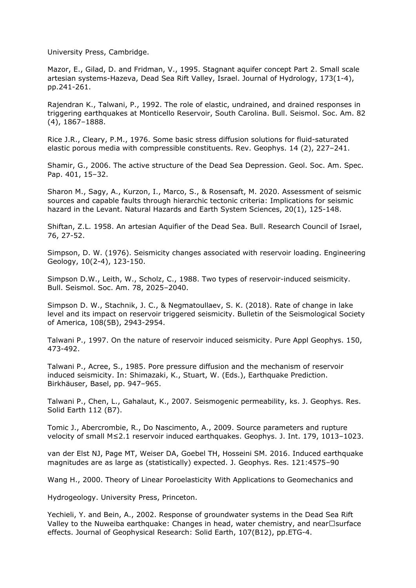University Press, Cambridge.

Mazor, E., Gilad, D. and Fridman, V., 1995. Stagnant aquifer concept Part 2. Small scale artesian systems-Hazeva, Dead Sea Rift Valley, Israel. Journal of Hydrology, 173(1-4), pp.241-261.

Rajendran K., Talwani, P., 1992. The role of elastic, undrained, and drained responses in triggering earthquakes at Monticello Reservoir, South Carolina. Bull. Seismol. Soc. Am. 82 (4), 1867–1888.

Rice J.R., Cleary, P.M., 1976. Some basic stress diffusion solutions for fluid-saturated elastic porous media with compressible constituents. Rev. Geophys. 14 (2), 227–241.

Shamir, G., 2006. The active structure of the Dead Sea Depression. Geol. Soc. Am. Spec. Pap. 401, 15–32.

Sharon M., Sagy, A., Kurzon, I., Marco, S., & Rosensaft, M. 2020. Assessment of seismic sources and capable faults through hierarchic tectonic criteria: Implications for seismic hazard in the Levant. Natural Hazards and Earth System Sciences, 20(1), 125-148.

Shiftan, Z.L. 1958. An artesian Aquifier of the Dead Sea. Bull. Research Council of Israel, 76, 27-52.

Simpson, D. W. (1976). Seismicity changes associated with reservoir loading. Engineering Geology, 10(2-4), 123-150.

Simpson D.W., Leith, W., Scholz, C., 1988. Two types of reservoir-induced seismicity. Bull. Seismol. Soc. Am. 78, 2025–2040.

Simpson D. W., Stachnik, J. C., & Negmatoullaev, S. K. (2018). Rate of change in lake level and its impact on reservoir triggered seismicity. Bulletin of the Seismological Society of America, 108(5B), 2943-2954.

Talwani P., 1997. On the nature of reservoir induced seismicity. Pure Appl Geophys. 150, 473-492.

Talwani P., Acree, S., 1985. Pore pressure diffusion and the mechanism of reservoir induced seismicity. In: Shimazaki, K., Stuart, W. (Eds.), Earthquake Prediction. Birkhäuser, Basel, pp. 947–965.

Talwani P., Chen, L., Gahalaut, K., 2007. Seismogenic permeability, ks. J. Geophys. Res. Solid Earth 112 (B7).

Tomic J., Abercrombie, R., Do Nascimento, A., 2009. Source parameters and rupture velocity of small M≤2.1 reservoir induced earthquakes. Geophys. J. Int. 179, 1013–1023.

van der Elst NJ, Page MT, Weiser DA, Goebel TH, Hosseini SM. 2016. Induced earthquake magnitudes are as large as (statistically) expected. J. Geophys. Res. 121:4575–90

Wang H., 2000. Theory of Linear Poroelasticity With Applications to Geomechanics and

Hydrogeology. University Press, Princeton.

Yechieli, Y. and Bein, A., 2002. Response of groundwater systems in the Dead Sea Rift Valley to the Nuweiba earthquake: Changes in head, water chemistry, and near $\Box$ surface effects. Journal of Geophysical Research: Solid Earth, 107(B12), pp.ETG-4.